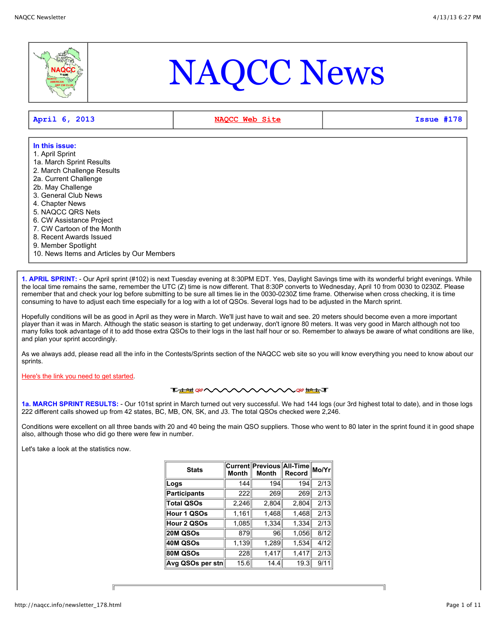

# NAQCC News

| $ $ April 6, 2013 | NAOCC Web Site | Issue #178 |
|-------------------|----------------|------------|
|                   |                |            |

| In this issue:                             |  |
|--------------------------------------------|--|
| 1. April Sprint                            |  |
| 1a. March Sprint Results                   |  |
| 2. March Challenge Results                 |  |
| 2a. Current Challenge                      |  |
| 2b. May Challenge                          |  |
| 3. General Club News                       |  |
| 4. Chapter News                            |  |
| 5. NAQCC QRS Nets                          |  |
| 6. CW Assistance Project                   |  |
| 7. CW Cartoon of the Month                 |  |
| 8. Recent Awards Issued                    |  |
| 9. Member Spotlight                        |  |
| 10. News Items and Articles by Our Members |  |

**1. APRIL SPRINT:** - Our April sprint (#102) is next Tuesday evening at 8:30PM EDT. Yes, Daylight Savings time with its wonderful bright evenings. While the local time remains the same, remember the UTC (Z) time is now different. That 8:30P converts to Wednesday, April 10 from 0030 to 0230Z. Please remember that and check your log before submitting to be sure all times lie in the 0030-0230Z time frame. Otherwise when cross checking, it is time consuming to have to adjust each time especially for a log with a lot of QSOs. Several logs had to be adjusted in the March sprint.

Hopefully conditions will be as good in April as they were in March. We'll just have to wait and see. 20 meters should become even a more important player than it was in March. Although the static season is starting to get underway, don't ignore 80 meters. It was very good in March although not too many folks took advantage of it to add those extra QSOs to their logs in the last half hour or so. Remember to always be aware of what conditions are like, and plan your sprint accordingly.

As we always add, please read all the info in the Contests/Sprints section of the NAQCC web site so you will know everything you need to know about our sprints.

[Here's the link you need to get started.](http://naqcc.info/contests.html)

**TALAHOR VVV ∧∧∧∧∧∧∧**®<del>™™</del>

**1a. MARCH SPRINT RESULTS:** - Our 101st sprint in March turned out very successful. We had 144 logs (our 3rd highest total to date), and in those logs 222 different calls showed up from 42 states, BC, MB, ON, SK, and J3. The total QSOs checked were 2,246.

Conditions were excellent on all three bands with 20 and 40 being the main QSO suppliers. Those who went to 80 later in the sprint found it in good shape also, although those who did go there were few in number.

Let's take a look at the statistics now.

| <b>Stats</b>        | <b>Month</b> | Current Previous All-Time<br><b>Month</b> | Record | Mo/Yr |
|---------------------|--------------|-------------------------------------------|--------|-------|
| Logs                | 144          | 194                                       | 194    | 2/13  |
| <b>Participants</b> | 222          | 269                                       | 269    | 2/13  |
| <b>Total QSOs</b>   | 2,246        | 2,804                                     | 2,804  | 2/13  |
| Hour 1 QSOs         | 1,161        | 1,468                                     | 1,468  | 2/13  |
| Hour 2 QSOs         | 1,085        | 1,334                                     | 1,334  | 2/13  |
| 20M QSOs            | 879          | 96                                        | 1,056  | 8/12  |
| 40M QSOs            | 1,139        | 1,289                                     | 1,534  | 4/12  |
| 80M QSOs            | 228          | 1,417                                     | 1,417  | 2/13  |
| Avg QSOs per stn    | 15.6         | 14.4                                      | 19.3   | 9/11  |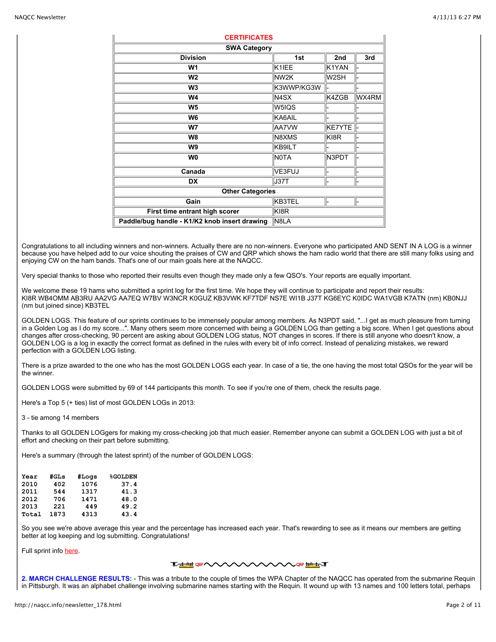| <b>CERTIFICATES</b>                           |                   |                   |       |
|-----------------------------------------------|-------------------|-------------------|-------|
| <b>SWA Category</b>                           |                   |                   |       |
| <b>Division</b>                               | 1st               | 2nd               | 3rd   |
| W1                                            | K1IEE             | K1YAN             |       |
| W <sub>2</sub>                                | NW <sub>2K</sub>  | W <sub>2</sub> SH |       |
| W <sub>3</sub>                                | K3WWP/KG3W        |                   |       |
| W4                                            | N <sub>4</sub> SX | K4ZGB             | WX4RM |
| W <sub>5</sub>                                | W5IQS             |                   |       |
| W6                                            | KA6AIL            |                   |       |
| W7                                            | AA7VW             | KE7YTE            |       |
| W <sub>8</sub>                                | N8XMS             | KI8R              |       |
| W9                                            | KB9ILT            |                   |       |
| W <sub>0</sub>                                | <b>NOTA</b>       | N3PDT             |       |
| Canada                                        | VE3FUJ            |                   |       |
| <b>DX</b>                                     | J37T              |                   |       |
| <b>Other Categories</b>                       |                   |                   |       |
| Gain                                          | KB3TEL            |                   |       |
| First time entrant high scorer                | KI8R              |                   |       |
| Paddle/bug handle - K1/K2 knob insert drawing | N8LA              |                   |       |

Congratulations to all including winners and non-winners. Actually there are no non-winners. Everyone who participated AND SENT IN A LOG is a winner because you have helped add to our voice shouting the praises of CW and QRP which shows the ham radio world that there are still many folks using and enjoying CW on the ham bands. That's one of our main goals here at the NAQCC.

Very special thanks to those who reported their results even though they made only a few QSO's. Your reports are equally important.

We welcome these 19 hams who submitted a sprint log for the first time. We hope they will continue to participate and report their results: KI8R WB4OMM AB3RU AA2VG AA7EQ W7BV W3NCR K0GUZ KB3VWK KF7TDF NS7E WI1B J37T KG6EYC K0IDC WA1VGB K7ATN (nm) KB0NJJ (nm but joined since) KB3TEL

GOLDEN LOGS. This feature of our sprints continues to be immensely popular among members. As N3PDT said, "...I get as much pleasure from turning in a Golden Log as I do my score...". Many others seem more concerned with being a GOLDEN LOG than getting a big score. When I get questions about changes after cross-checking, 90 percent are asking about GOLDEN LOG status, NOT changes in scores. If there is still anyone who doesn't know, a GOLDEN LOG is a log in exactly the correct format as defined in the rules with every bit of into correct. Instead of penalizing mistakes, we reward perfection with a GOLDEN LOG listing.

There is a prize awarded to the one who has the most GOLDEN LOGS each year. In case of a tie, the one having the most total QSOs for the year will be the winner.

GOLDEN LOGS were submitted by 69 of 144 participants this month. To see if you're one of them, check the results page.

Here's a Top 5 (+ ties) list of most GOLDEN LOGs in 2013:

3 - tie among 14 members

Thanks to all GOLDEN LOGgers for making my cross-checking job that much easier. Remember anyone can submit a GOLDEN LOG with just a bit of effort and checking on their part before submitting.

Here's a summary (through the latest sprint) of the number of GOLDEN LOGS:

| Year  | #GLs | #Logs | <b>%GOLDEN</b> |
|-------|------|-------|----------------|
| 2010  | 402  | 1076  | 37.4           |
| 2011  | 544  | 1317  | 41.3           |
| 2012  | 706  | 1471  | 48.0           |
| 2013  | 221  | 449   | 49.2           |
| Total | 1873 | 4313  | 43.4           |

So you see we're above average this year and the percentage has increased each year. That's rewarding to see as it means our members are getting better at log keeping and log submitting. Congratulations!

Full sprint info here

## **THE ORANGE**

**2. MARCH CHALLENGE RESULTS:** - This was a tribute to the couple of times the WPA Chapter of the NAQCC has operated from the submarine Requin in Pittsburgh. It was an alphabet challenge involving submarine names starting with the Requin. It wound up with 13 names and 100 letters total, perhaps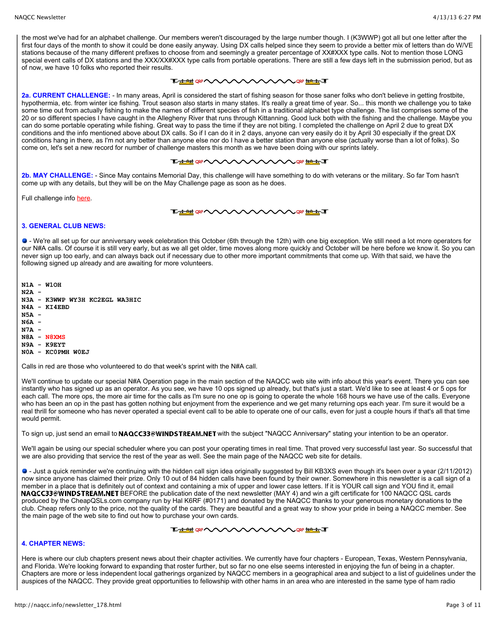the most we've had for an alphabet challenge. Our members weren't discouraged by the large number though. I (K3WWP) got all but one letter after the first four days of the month to show it could be done easily anyway. Using DX calls helped since they seem to provide a better mix of letters than do W/VE stations because of the many different prefixes to choose from and seemingly a greater percentage of XX#XXX type calls. Not to mention those LONG special event calls of DX stations and the XXX/XX#XXX type calls from portable operations. There are still a few days left in the submission period, but as of now, we have 10 folks who reported their results.

## THE REPORT OF THE REAL PROPERTY

**2a. CURRENT CHALLENGE:** - In many areas, April is considered the start of fishing season for those saner folks who don't believe in getting frostbite, hypothermia, etc. from winter ice fishing. Trout season also starts in many states. It's really a great time of year. So... this month we challenge you to take some time out from actually fishing to make the names of different species of fish in a traditional alphabet type challenge. The list comprises some of the 20 or so different species I have caught in the Allegheny River that runs through Kittanning. Good luck both with the fishing and the challenge. Maybe you can do some portable operating while fishing. Great way to pass the time if they are not biting. I completed the challenge on April 2 due to great DX conditions and the info mentioned above about DX calls. So if I can do it in 2 days, anyone can very easily do it by April 30 especially if the great DX conditions hang in there, as I'm not any better than anyone else nor do I have a better station than anyone else (actually worse than a lot of folks). So come on, let's set a new record for number of challenge masters this month as we have been doing with our sprints lately.

#### **TALAH QRP NOW YOU ORP INSURANCE**

**2b. MAY CHALLENGE:** - Since May contains Memorial Day, this challenge will have something to do with veterans or the military. So far Tom hasn't come up with any details, but they will be on the May Challenge page as soon as he does.

Full challenge info [here.](http://naqcc.info/challenges.html)



## **3. GENERAL CLUB NEWS:**

 - We're all set up for our anniversary week celebration this October (6th through the 12th) with one big exception. We still need a lot more operators for our N#A calls. Of course it is still very early, but as we all get older, time moves along more quickly and October will be here before we know it. So you can never sign up too early, and can always back out if necessary due to other more important commitments that come up. With that said, we have the following signed up already and are awaiting for more volunteers.

**N1A - W1OH N2A - N3A - K3WWP WY3H KC2EGL WA3HIC N4A - KI4EBD N5A - N6A - N7A - N8A - N8XMS N9A - K9EYT N0A - KC0PMH W0EJ**

Calls in red are those who volunteered to do that week's sprint with the N#A call.

We'll continue to update our special N#A Operation page in the main section of the NAQCC web site with info about this year's event. There you can see instantly who has signed up as an operator. As you see, we have 10 ops signed up already, but that's just a start. We'd like to see at least 4 or 5 ops for each call. The more ops, the more air time for the calls as I'm sure no one op is going to operate the whole 168 hours we have use of the calls. Everyone who has been an op in the past has gotten nothing but enjoyment from the experience and we get many returning ops each year. I'm sure it would be a real thrill for someone who has never operated a special event call to be able to operate one of our calls, even for just a couple hours if that's all that time would permit.

To sign up, just send an email to NAQCC33@WINDSTREAM.NET with the subject "NAQCC Anniversary" stating your intention to be an operator.

We'll again be using our special scheduler where you can post your operating times in real time. That proved very successful last year. So successful that we are also providing that service the rest of the year as well. See the main page of the NAQCC web site for details.

 - Just a quick reminder we're continuing with the hidden call sign idea originally suggested by Bill KB3XS even though it's been over a year (2/11/2012) now since anyone has claimed their prize. Only 10 out of 84 hidden calls have been found by their owner. Somewhere in this newsletter is a call sign of a member in a place that is definitely out of context and containing a mix of upper and lower case letters. If it is YOUR call sign and YOU find it, email NAQCC33@WINDSTREAM.NET BEFORE the publication date of the next newsletter (MAY 4) and win a gift certificate for 100 NAQCC QSL cards produced by the CheapQSLs.com company run by Hal K6RF (#0171) and donated by the NAQCC thanks to your generous monetary donations to the club. Cheap refers only to the price, not the quality of the cards. They are beautiful and a great way to show your pride in being a NAQCC member. See the main page of the web site to find out how to purchase your own cards.

**ᅚ<del>ᅹᅄ</del>**ᅄᄾᄾᄉᄉᄉ **AARTING** 

# **4. CHAPTER NEWS:**

Here is where our club chapters present news about their chapter activities. We currently have four chapters - European, Texas, Western Pennsylvania, and Florida. We're looking forward to expanding that roster further, but so far no one else seems interested in enjoying the fun of being in a chapter. Chapters are more or less independent local gatherings organized by NAQCC members in a geographical area and subject to a list of guidelines under the auspices of the NAQCC. They provide great opportunities to fellowship with other hams in an area who are interested in the same type of ham radio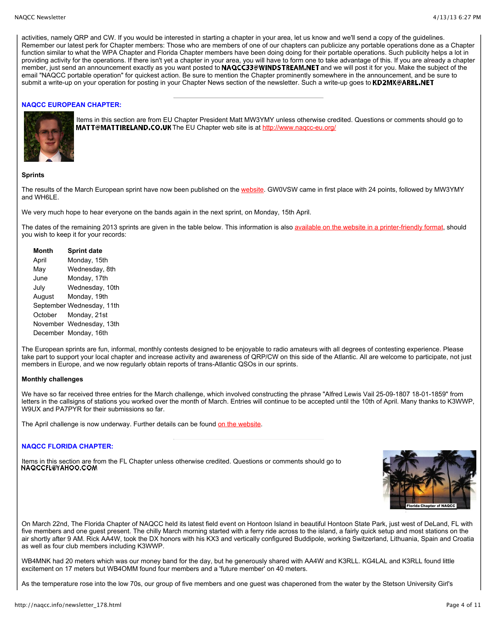activities, namely QRP and CW. If you would be interested in starting a chapter in your area, let us know and we'll send a copy of the guidelines. Remember our latest perk for Chapter members: Those who are members of one of our chapters can publicize any portable operations done as a Chapter function similar to what the WPA Chapter and Florida Chapter members have been doing doing for their portable operations. Such publicity helps a lot in providing activity for the operations. If there isn't yet a chapter in your area, you will have to form one to take advantage of this. If you are already a chapter member, just send an announcement exactly as you want posted to **NAQCC33@WINDSTREAM.NET** and we will post it for you. Make the subject of the email "NAQCC portable operation" for quickest action. Be sure to mention the Chapter prominently somewhere in the announcement, and be sure to submit a write-up on your operation for posting in your Chapter News section of the newsletter. Such a write-up goes to KD2MX@ARRL.NET

## **NAQCC EUROPEAN CHAPTER:**



Items in this section are from EU Chapter President Matt MW3YMY unless otherwise credited. Questions or comments should go to MATT@MATTIRELAND.CO.UK The EU Chapter web site is at<http://www.naqcc-eu.org/>

## **Sprints**

The results of the March European sprint have now been published on the [website.](http://naqcc-eu.org/) GW0VSW came in first place with 24 points, followed by MW3YMY and WH6LE.

We very much hope to hear everyone on the bands again in the next sprint, on Monday, 15th April.

The dates of the remaining 2013 sprints are given in the table below. This information is also [available on the website in a printer-friendly format](http://naqcc-eu.org/sprints/rules/2013_sprint_schedule.pdf), should you wish to keep it for your records:

| <b>Month</b> | <b>Sprint date</b>        |
|--------------|---------------------------|
| April        | Monday, 15th              |
| May          | Wednesday, 8th            |
| June         | Monday, 17th              |
| July         | Wednesday, 10th           |
| August       | Monday, 19th              |
|              | September Wednesday, 11th |
| October      | Monday, 21st              |
|              | November Wednesday, 13th  |
|              | December Monday, 16th     |
|              |                           |

The European sprints are fun, informal, monthly contests designed to be enjoyable to radio amateurs with all degrees of contesting experience. Please take part to support your local chapter and increase activity and awareness of QRP/CW on this side of the Atlantic. All are welcome to participate, not just members in Europe, and we now regularly obtain reports of trans-Atlantic QSOs in our sprints.

## **Monthly challenges**

We have so far received three entries for the March challenge, which involved constructing the phrase "Alfred Lewis Vail 25-09-1807 18-01-1859" from letters in the callsigns of stations you worked over the month of March. Entries will continue to be accepted until the 10th of April. Many thanks to K3WWP, W9UX and PA7PYR for their submissions so far.

The April challenge is now underway. Further details can be found [on the website](http://naqcc-eu.org/eu-challenges/april-2013-challenge).

## **NAQCC FLORIDA CHAPTER:**

Items in this section are from the FL Chapter unless otherwise credited. Questions or comments should go to NAQCCFL@YAHOO.COM



On March 22nd, The Florida Chapter of NAQCC held its latest field event on Hontoon Island in beautiful Hontoon State Park, just west of DeLand, FL with five members and one guest present. The chilly March morning started with a ferry ride across to the island, a fairly quick setup and most stations on the air shortly after 9 AM. Rick AA4W, took the DX honors with his KX3 and vertically configured Buddipole, working Switzerland, Lithuania, Spain and Croatia as well as four club members including K3WWP.

WB4MNK had 20 meters which was our money band for the day, but he generously shared with AA4W and K3RLL. KG4LAL and K3RLL found little excitement on 17 meters but WB4OMM found four members and a 'future member' on 40 meters.

As the temperature rose into the low 70s, our group of five members and one guest was chaperoned from the water by the Stetson University Girl's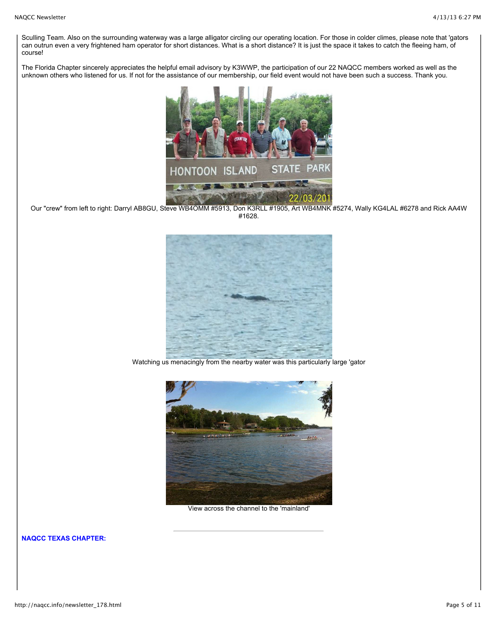Sculling Team. Also on the surrounding waterway was a large alligator circling our operating location. For those in colder climes, please note that 'gators can outrun even a very frightened ham operator for short distances. What is a short distance? It is just the space it takes to catch the fleeing ham, of course!

The Florida Chapter sincerely appreciates the helpful email advisory by K3WWP, the participation of our 22 NAQCC members worked as well as the unknown others who listened for us. If not for the assistance of our membership, our field event would not have been such a success. Thank you.



Our "crew" from left to right: Darryl AB8GU, Steve WB4OMM #5913, Don K3RLL #1905, Art WB4MNK #5274, Wally KG4LAL #6278 and Rick AA4W #1628.



Watching us menacingly from the nearby water was this particularly large 'gator



View across the channel to the 'mainland'

**NAQCC TEXAS CHAPTER:**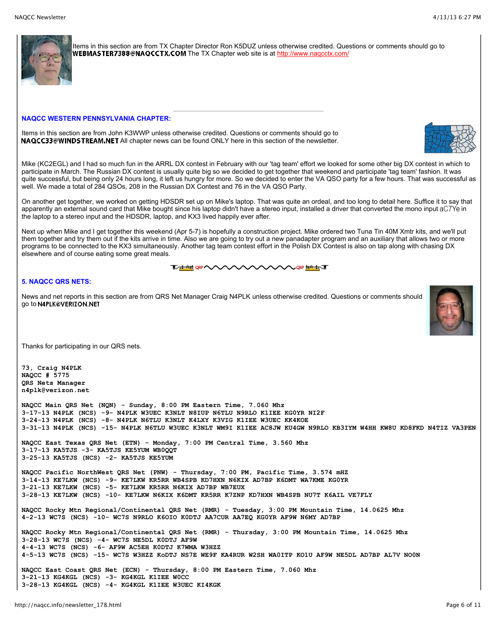

Items in this section are from TX Chapter Director Ron K5DUZ unless otherwise credited. Questions or comments should go to WEBMASTER7388@NAQCCTX.COM The TX Chapter web site is at http://www.nagcctx.com/

#### **NAQCC WESTERN PENNSYLVANIA CHAPTER:**

Items in this section are from John K3WWP unless otherwise credited. Questions or comments should go to **NAQCC33@WINDSTREAM.NET** All chapter news can be found ONLY here in this section of the newsletter.



Mike (KC2EGL) and I had so much fun in the ARRL DX contest in February with our 'tag team' effort we looked for some other big DX contest in which to participate in March. The Russian DX contest is usually quite big so we decided to get together that weekend and participate 'tag team' fashion. It was quite successful, but being only 24 hours long, it left us hungry for more. So we decided to enter the VA QSO party for a few hours. That was successful as well. We made a total of 284 QSOs, 208 in the Russian DX Contest and 76 in the VA QSO Party.

On another get together, we worked on getting HDSDR set up on Mike's laptop. That was quite an ordeal, and too long to detail here. Suffice it to say that apparently an external sound card that Mike bought since his laptop didn't have a stereo input, installed a driver that converted the mono input aC7Ye in the laptop to a stereo input and the HDSDR, laptop, and KX3 lived happily ever after.

Next up when Mike and I get together this weekend (Apr 5-7) is hopefully a construction project. Mike ordered two Tuna Tin 40M Xmtr kits, and we'll put them together and try them out if the kits arrive in time. Also we are going to try out a new panadapter program and an auxiliary that allows two or more programs to be connected to the KX3 simultaneously. Another tag team contest effort in the Polish DX Contest is also on tap along with chasing DX elsewhere and of course eating some great meals.

#### **Tablet ORP VALAVA WWW.CORPERATE**

# **5. NAQCC QRS NETS:**

News and net reports in this section are from QRS Net Manager Craig N4PLK unless otherwise credited. Questions or comments should go to N4PLK@VERIZON.NET



Thanks for participating in our QRS nets.

**73, Craig N4PLK NAQCC # 5775 QRS Nets Manager n4plk@verizon.net**

**NAQCC Main QRS Net (NQN) - Sunday, 8:00 PM Eastern Time, 7.060 Mhz 3-17-13 N4PLK (NCS) -9- N4PLK W3UEC K3NLT N8IUP N6TLU N9RLO K1IEE KG0YR NI2F 3-24-13 N4PLK (NCS) -8- N4PLK N6TLU K3NLT K4LXY K3VIG K1IEE W3UEC KK4KOE 3-31-13 N4PLK (NCS) -15- N4PLK N6TLU W3UEC K3NLT WM9I K1IEE AC8JW KU4GW N9RLO KB3IYM W4HH KW8U KD8FKD N4TIZ VA3PEN**

**NAQCC East Texas QRS Net (ETN) - Monday, 7:00 PM Central Time, 3.560 Mhz 3-17-13 KA5TJS -3- KA5TJS KE5YUM WB0QQT 3-25-13 KA5TJS (NCS) -2- KA5TJS KE5YUM**

**NAQCC Pacific NorthWest QRS Net (PNW) - Thursday, 7:00 PM, Pacific Time, 3.574 mHZ 3-14-13 KE7LKW (NCS) -9- KE7LKW KR5RR WB4SPB KD7HXN N6KIX AD7BP K6DMT WA7KME KG0YR 3-21-13 KE7LKW (NCS) -5- KE7LKW KR5RR N6KIX AD7BP WB7EUX 3-28-13 KE7LKW (NCS) -10- KE7LKW N6KIX K6DMT KR5RR K7ZNP KD7HXN WB4SPB NU7T K6AIL VE7FLY** 

**NAQCC Rocky Mtn Regional/Continental QRS Net (RMR) - Tuesday, 3:00 PM Mountain Time, 14.0625 Mhz 4-2-13 WC7S (NCS) -10- WC7S N9RLO K6OIO K0DTJ AA7CUR AA7EQ KG0YR AF9W N6MY AD7BP**

**NAQCC Rocky Mtn Regional/Continental QRS Net (RMR) - Thursday, 3:00 PM Mountain Time, 14.0625 Mhz 3-28-13 WC7S (NCS) -4- WC7S NE5DL K0DTJ AF9W 4-4-13 WC7S (NCS) -6- AF9W AC5EH K0DTJ K7WMA W3HZZ 4-5-13 WC7S (NCS) -15- WC7S W3HZZ KoDTJ NS7E WE9F KA4RUR W2SH WA0ITP KO1U AF9W NE5DL AD7BP AL7V NO0N NAQCC East Coast QRS Net (ECN) - Thursday, 8:00 PM Eastern Time, 7.060 Mhz 3-21-13 KG4KGL (NCS) -3- KG4KGL K1IEE W0CC**

**3-28-13 KG4KGL (NCS) -4- KG4KGL K1IEE W3UEC KI4KGK**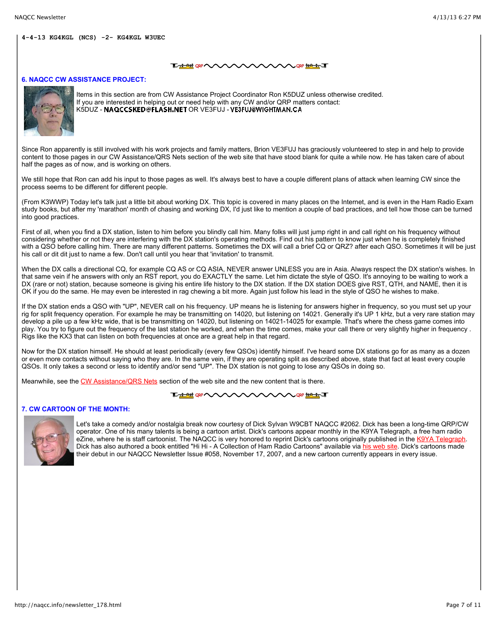#### **TALAH QRP WWW CORP HOLLY JE**

## **6. NAQCC CW ASSISTANCE PROJECT:**



Items in this section are from CW Assistance Project Coordinator Ron K5DUZ unless otherwise credited. If you are interested in helping out or need help with any CW and/or QRP matters contact: K5DUZ - NAQCCSKED@FLASH.NET OR VE3FUJ - VE3FUJ@WIGHTMAN.CA

Since Ron apparently is still involved with his work projects and family matters, Brion VE3FUJ has graciously volunteered to step in and help to provide content to those pages in our CW Assistance/QRS Nets section of the web site that have stood blank for quite a while now. He has taken care of about half the pages as of now, and is working on others.

We still hope that Ron can add his input to those pages as well. It's always best to have a couple different plans of attack when learning CW since the process seems to be different for different people.

(From K3WWP) Today let's talk just a little bit about working DX. This topic is covered in many places on the Internet, and is even in the Ham Radio Exam study books, but after my 'marathon' month of chasing and working DX, I'd just like to mention a couple of bad practices, and tell how those can be turned into good practices.

First of all, when you find a DX station, listen to him before you blindly call him. Many folks will just jump right in and call right on his frequency without considering whether or not they are interfering with the DX station's operating methods. Find out his pattern to know just when he is completely finished with a QSO before calling him. There are many different patterns. Sometimes the DX will call a brief CQ or QRZ? after each QSO. Sometimes it will be just his call or dit dit just to name a few. Don't call until you hear that 'invitation' to transmit.

When the DX calls a directional CQ, for example CQ AS or CQ ASIA, NEVER answer UNLESS you are in Asia. Always respect the DX station's wishes. In that same vein if he answers with only an RST report, you do EXACTLY the same. Let him dictate the style of QSO. It's annoying to be waiting to work a DX (rare or not) station, because someone is giving his entire life history to the DX station. If the DX station DOES give RST, QTH, and NAME, then it is OK if you do the same. He may even be interested in rag chewing a bit more. Again just follow his lead in the style of QSO he wishes to make.

If the DX station ends a QSO with "UP", NEVER call on his frequency. UP means he is listening for answers higher in frequency, so you must set up your rig for split frequency operation. For example he may be transmitting on 14020, but listening on 14021. Generally it's UP 1 kHz, but a very rare station may develop a pile up a few kHz wide, that is be transmitting on 14020, but listening on 14021-14025 for example. That's where the chess game comes into play. You try to figure out the frequency of the last station he worked, and when the time comes, make your call there or very slightly higher in frequency . Rigs like the KX3 that can listen on both frequencies at once are a great help in that regard.

Now for the DX station himself. He should at least periodically (every few QSOs) identify himself. I've heard some DX stations go for as many as a dozen or even more contacts without saying who they are. In the same vein, if they are operating split as described above, state that fact at least every couple QSOs. It only takes a second or less to identify and/or send "UP". The DX station is not going to lose any QSOs in doing so.

Meanwhile, see the [CW Assistance/QRS Nets](http://naqcc.info/cw.html) section of the web site and the new content that is there.

#### **LAMM ON WAXWAXWAY ON MALLT**

# **7. CW CARTOON OF THE MONTH:**



Let's take a comedy and/or nostalgia break now courtesy of Dick Sylvan W9CBT NAQCC #2062. Dick has been a long-time QRP/CW operator. One of his many talents is being a cartoon artist. Dick's cartoons appear monthly in the K9YA Telegraph, a free ham radio eZine, where he is staff cartoonist. The NAQCC is very honored to reprint Dick's cartoons originally published in the [K9YA Telegraph.](http://www.k9ya.org/) Dick has also authored a book entitled "Hi Hi - A Collection of Ham Radio Cartoons" available via [his web site.](http://www.k9ya.org/w9cbt/) Dick's cartoons made their debut in our NAQCC Newsletter Issue #058, November 17, 2007, and a new cartoon currently appears in every issue.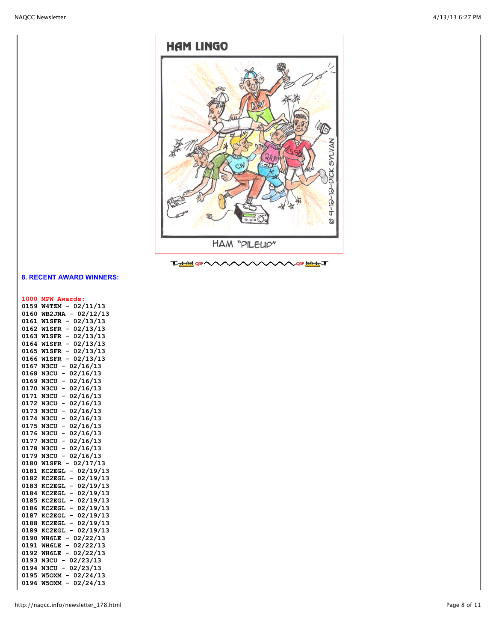

# **8. RECENT AWARD WINNERS:**

# **1000 MPW Awards:**

| 0159 | 02/11/13<br>W4TZM                                    |
|------|------------------------------------------------------|
| 0160 | 02/12/13<br><b>WB2JNA</b>                            |
| 0161 | 02/13/13<br><b>W1SFR</b><br>$\overline{\phantom{0}}$ |
| 0162 | 02/13/13<br><b>W1SFR</b><br>$\overline{\phantom{0}}$ |
| 0163 | $\overline{a}$<br>02/13/13<br><b>W1SFR</b>           |
| 0164 | $\overline{a}$<br>02/13/13<br><b>W1SFR</b>           |
| 0165 | $\overline{a}$<br>02/13/13<br><b>W1SFR</b>           |
| 0166 | $\overline{a}$<br>02/13/13<br><b>W1SFR</b>           |
| 0167 | $\overline{a}$<br>02/16/13<br>N3CU                   |
| 0168 | 02/16/13<br>-<br>N3CU                                |
| 0169 | 02/16/13<br>-<br>N3CU                                |
| 0170 | 02/16/13<br>-<br>N3CU                                |
| 0171 | 02/16/13<br>N3CU<br>-                                |
| 0172 | 02/16/13<br>-<br>N3CU                                |
| 0173 | 02/16/13<br><b>N3CU</b><br>-                         |
| 0174 | 02/16/13<br>-<br><b>N3CU</b>                         |
| 0175 | 02/16/13<br>-<br><b>N3CU</b>                         |
| 0176 | $\overline{a}$<br>02/16/13<br><b>N3CU</b>            |
| 0177 | 02/16/13<br>-<br><b>N3CU</b>                         |
| 0178 | 02/16/13<br><b>N3CU</b><br>-                         |
| 0179 | 02/16/13<br><b>N3CU</b><br>-                         |
| 0180 | 02/17/13<br><b>W1SFR</b>                             |
| 0181 | 02/19/13<br><b>KC2EGL</b><br>-                       |
| 0182 | 02/19/13<br><b>KC2EGL</b><br>-                       |
| 0183 | 02/19/13<br><b>KC2EGL</b><br>-                       |
| 0184 | 02/19/13<br>KC2EGL<br>-                              |
| 0185 | 02/19/13<br><b>KC2EGL</b><br>-                       |
| 0186 | 02/19/13<br><b>KC2EGL</b><br>-                       |
| 0187 | 02/19/13<br><b>KC2EGL</b><br>-                       |
| 0188 | 02/19/13<br><b>KC2EGL</b><br>-                       |
| 0189 | 02/19/13<br><b>KC2EGL</b><br>-                       |
| 0190 | 02/22/13<br>WH6LE                                    |
| 0191 | 02/22/13<br>WH6LE<br>$\overline{\phantom{0}}$        |
| 0192 | WH6LE<br>02/22/13                                    |
| 0193 | 02/23/13<br><b>N3CU</b>                              |
| 0194 | 02/23/13<br>N3CU                                     |
| 0195 | 02/24/13<br>W5OXM-                                   |
| 0196 | 02/24/13<br><b>W5OXM</b>                             |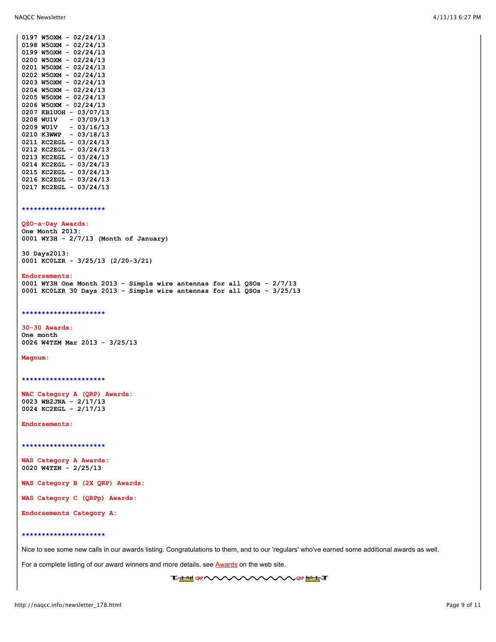| 0198 | 02/24/13<br><b>W5OXM</b>                      |
|------|-----------------------------------------------|
| 0199 | 02/24/13<br>W50XM<br>$\overline{\phantom{0}}$ |
| 0200 | 02/24/13<br>W5OXM                             |
| 0201 | 02/24/13<br><b>W5OXM</b><br>-                 |
| 0202 | 02/24/13<br>W5OXM<br>$\overline{\phantom{0}}$ |
| 0203 | 02/24/13<br><b>W5OXM</b><br>-                 |
| 0204 | 02/24/13<br>W5OXM<br>-                        |
| 0205 | 02/24/13<br><b>W5OXM</b><br>-                 |
| 0206 | 02/24/13<br>W5OXM                             |
| 0207 | 03/07/13<br><b>KB1UOH</b>                     |
| 0208 | 03/09/13<br>WU1V                              |
| 0209 | 03/16/13<br>WU1V<br>$\overline{a}$            |
| 0210 | 03/18/13<br>K3WWP<br>-                        |
| 0211 | 03/24/13<br><b>KC2EGL</b><br>-                |
| 0212 | 03/24/13<br><b>KC2EGL</b><br>-                |
| 0213 | 03/24/13<br><b>KC2EGL</b><br>-                |
| 0214 | 03/24/13<br><b>KC2EGL</b><br>-                |
| 0215 | 03/24/13<br><b>KC2EGL</b>                     |
| 0216 | 03/24/13<br><b>KC2EGL</b>                     |
| 0217 | 03/24/13<br><b>KC2EGL</b>                     |

**0197 W5OXM - 02/24/13**

**\*\*\*\*\*\*\*\*\*\*\*\*\*\*\*\*\*\*\*\*\***

#### **QSO-a-Day Awards:**

**One Month 2013: 0001 WY3H - 2/7/13 (Month of January)**

**30 Days2013: 0001 KC0LZR - 3/25/13 (2/20-3/21)**

#### **Endorsements:**

**0001 WY3H One Month 2013 - Simple wire antennas for all QSOs - 2/7/13 0001 KC0LZR 30 Days 2013 - Simple wire antennas for all QSOs - 3/25/13**

#### **\*\*\*\*\*\*\*\*\*\*\*\*\*\*\*\*\*\*\*\*\***

#### **30-30 Awards:**

**One month 0026 W4TZM Mar 2013 - 3/25/13**

#### **Magnum:**

**\*\*\*\*\*\*\*\*\*\*\*\*\*\*\*\*\*\*\*\*\***

**WAC Category A (QRP) Awards: 0023 WB2JNA - 2/17/13 0024 KC2EGL - 2/17/13**

**Endorsements:**

**\*\*\*\*\*\*\*\*\*\*\*\*\*\*\*\*\*\*\*\*\***

**WAS Category A Awards: 0020 W4TZN - 2/25/13**

**WAS Category B (2X QRP) Awards:**

**WAS Category C (QRPp) Awards:**

**Endorsements Category A:**

#### **\*\*\*\*\*\*\*\*\*\*\*\*\*\*\*\*\*\*\*\*\***

Nice to see some new calls in our awards listing. Congratulations to them, and to our 'regulars' who've earned some additional awards as well.

For a complete listing of our award winners and more details, see **Awards** on the web site.

**THE OF WWW WWW WAS THE T**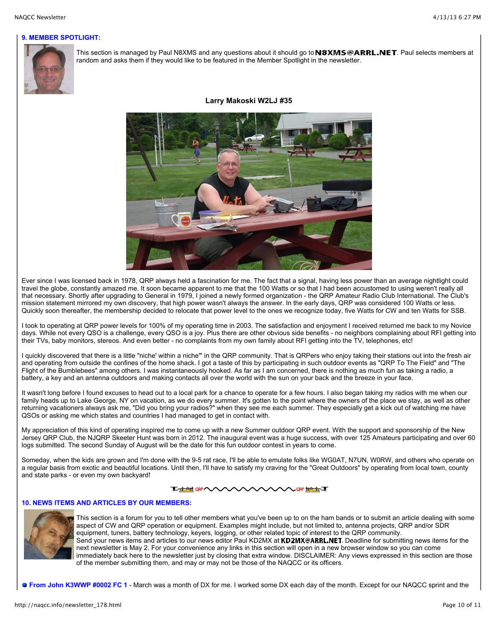## **9. MEMBER SPOTLIGHT:**



This section is managed by Paul N8XMS and any questions about it should go to **N8XMS@ARRL.NET**. Paul selects members at random and asks them if they would like to be featured in the Member Spotlight in the newsletter.

# **Larry Makoski W2LJ #35**



Ever since I was licensed back in 1978, QRP always held a fascination for me. The fact that a signal, having less power than an average nightlight could travel the globe, constantly amazed me. It soon became apparent to me that the 100 Watts or so that I had been accustomed to using weren't really all that necessary. Shortly after upgrading to General in 1979, I joined a newly formed organization - the QRP Amateur Radio Club International. The Club's mission statement mirrored my own discovery, that high power wasn't always the answer. In the early days, QRP was considered 100 Watts or less. Quickly soon thereafter, the membership decided to relocate that power level to the ones we recognize today, five Watts for CW and ten Watts for SSB.

I took to operating at QRP power levels for 100% of my operating time in 2003. The satisfaction and enjoyment I received returned me back to my Novice days. While not every QSO is a challenge, every QSO is a joy. Plus there are other obvious side benefits - no neighbors complaining about RFI getting into their TVs, baby monitors, stereos. And even better - no complaints from my own family about RFI getting into the TV, telephones, etc!

I quickly discovered that there is a little "niche' within a niche" in the QRP community. That is QRPers who enjoy taking their stations out into the fresh air and operating from outside the confines of the home shack. I got a taste of this by participating in such outdoor events as "QRP To The Field" and "The Flight of the Bumblebees" among others. I was instantaneously hooked. As far as I am concerned, there is nothing as much fun as taking a radio, a battery, a key and an antenna outdoors and making contacts all over the world with the sun on your back and the breeze in your face.

It wasn't long before I found excuses to head out to a local park for a chance to operate for a few hours. I also began taking my radios with me when our family heads up to Lake George, NY on vacation, as we do every summer. It's gotten to the point where the owners of the place we stay, as well as other returning vacationers always ask me, "Did you bring your radios?" when they see me each summer. They especially get a kick out of watching me have QSOs or asking me which states and countries I had managed to get in contact with.

My appreciation of this kind of operating inspired me to come up with a new Summer outdoor QRP event. With the support and sponsorship of the New Jersey QRP Club, the NJQRP Skeeter Hunt was born in 2012. The inaugural event was a huge success, with over 125 Amateurs participating and over 60 logs submitted. The second Sunday of August will be the date for this fun outdoor contest in years to come.

Someday, when the kids are grown and I'm done with the 9-5 rat race, I'll be able to emulate folks like WG0AT, N7UN, W0RW, and others who operate on a regular basis from exotic and beautiful locations. Until then, I'll have to satisfy my craving for the "Great Outdoors" by operating from local town, county and state parks - or even my own backyard!

# **THE ORAN**

## **10. NEWS ITEMS AND ARTICLES BY OUR MEMBERS:**



This section is a forum for you to tell other members what you've been up to on the ham bands or to submit an article dealing with some aspect of CW and QRP operation or equipment. Examples might include, but not limited to, antenna projects, QRP and/or SDR equipment, tuners, battery technology, keyers, logging, or other related topic of interest to the QRP community. Send your news items and articles to our news editor Paul KD2MX at KD2MX@ARRL.NET. Deadline for submitting news items for the next newsletter is May 2. For your convenience any links in this section will open in a new browser window so you can come immediately back here to the newsletter just by closing that extra window. DISCLAIMER: Any views expressed in this section are those of the member submitting them, and may or may not be those of the NAQCC or its officers.

 **From John K3WWP #0002 FC 1** - March was a month of DX for me. I worked some DX each day of the month. Except for our NAQCC sprint and the